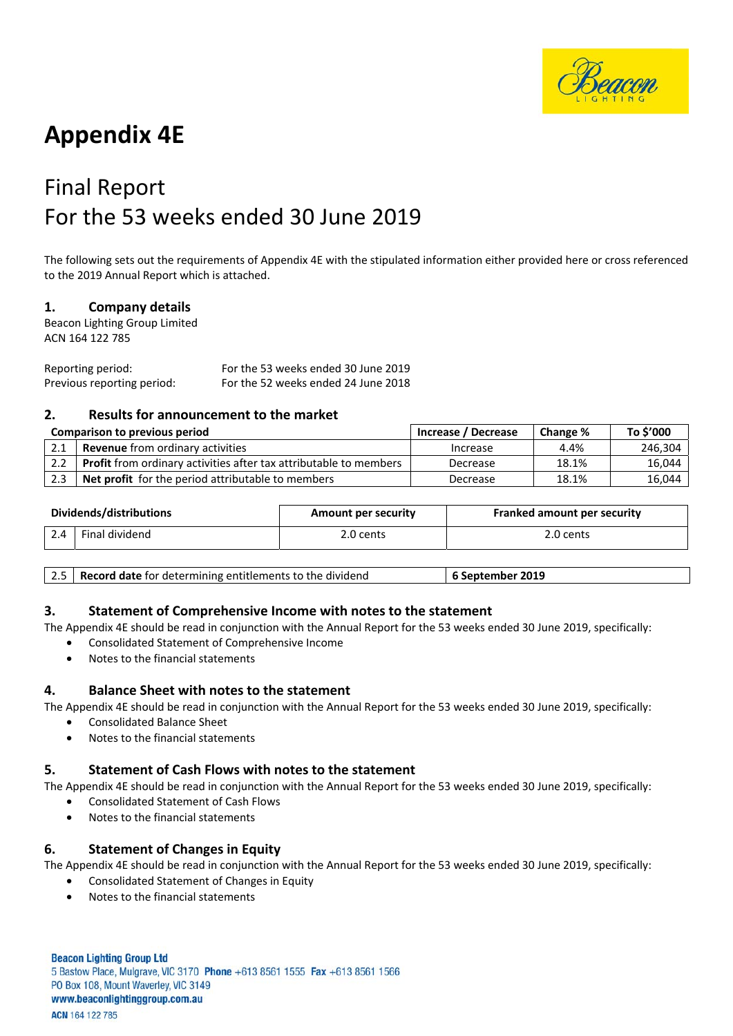

# **Appendix 4E**

# Final Report For the 53 weeks ended 30 June 2019

The following sets out the requirements of Appendix 4E with the stipulated information either provided here or cross referenced to the 2019 Annual Report which is attached.

## **1. Company details**

Beacon Lighting Group Limited ACN 164 122 785

Reporting period: For the 53 weeks ended 30 June 2019 Previous reporting period: For the 52 weeks ended 24 June 2018

## **2. Results for announcement to the market**

| <b>Comparison to previous period</b> |                                                                          | Increase / Decrease | Change % | To \$'000 |
|--------------------------------------|--------------------------------------------------------------------------|---------------------|----------|-----------|
| 2.1                                  | <b>Revenue</b> from ordinary activities                                  | Increase            | 4.4%     | 246.304   |
| 2.2                                  | <b>Profit</b> from ordinary activities after tax attributable to members | Decrease            | 18.1%    | 16,044    |
| 2.3                                  | <b>Net profit</b> for the period attributable to members                 | Decrease            | 18.1%    | 16,044    |

| Dividends/distributions |                | <b>Amount per security</b> | <b>Franked amount per security</b> |  |
|-------------------------|----------------|----------------------------|------------------------------------|--|
| 2.4                     | Final dividend | 2.0 cents                  | 2.0 cents                          |  |

## **3. Statement of Comprehensive Income with notes to the statement**

The Appendix 4E should be read in conjunction with the Annual Report for the 53 weeks ended 30 June 2019, specifically:

- Consolidated Statement of Comprehensive Income
- Notes to the financial statements

## **4. Balance Sheet with notes to the statement**

The Appendix 4E should be read in conjunction with the Annual Report for the 53 weeks ended 30 June 2019, specifically:

- Consolidated Balance Sheet
- Notes to the financial statements

## **5. Statement of Cash Flows with notes to the statement**

The Appendix 4E should be read in conjunction with the Annual Report for the 53 weeks ended 30 June 2019, specifically:

- Consolidated Statement of Cash Flows
- Notes to the financial statements

# **6. Statement of Changes in Equity**

The Appendix 4E should be read in conjunction with the Annual Report for the 53 weeks ended 30 June 2019, specifically:

- Consolidated Statement of Changes in Equity
- Notes to the financial statements